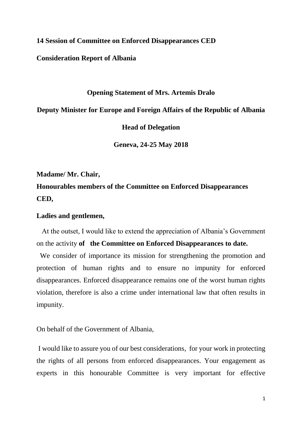**14 Session of Committee on Enforced Disappearances CED**

**Consideration Report of Albania**

#### **Opening Statement of Mrs. Artemis Dralo**

**Deputy Minister for Europe and Foreign Affairs of the Republic of Albania**

**Head of Delegation**

**Geneva, 24-25 May 2018**

**Madame/ Mr. Chair,**

**Honourables members of the Committee on Enforced Disappearances CED,**

## **Ladies and gentlemen,**

 At the outset, I would like to extend the appreciation of Albania's Government on the activity **of the Committee on Enforced Disappearances to date.**

 We consider of importance its mission for strengthening the promotion and protection of human rights and to ensure no impunity for enforced disappearances. Enforced disappearance remains one of the worst human rights violation, therefore is also a crime under international law that often results in impunity.

On behalf of the Government of Albania,

I would like to assure you of our best considerations, for your work in protecting the rights of all persons from enforced disappearances. Your engagement as experts in this honourable Committee is very important for effective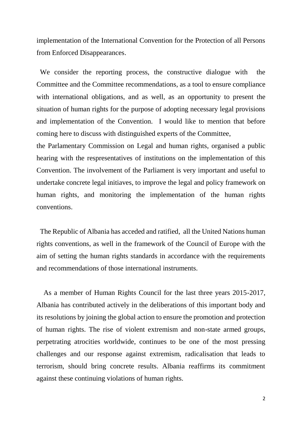implementation of the International Convention for the Protection of all Persons from Enforced Disappearances.

 We consider the reporting process, the constructive dialogue with the Committee and the Committee recommendations, as a tool to ensure compliance with international obligations, and as well, as an opportunity to present the situation of human rights for the purpose of adopting necessary legal provisions and implementation of the Convention. I would like to mention that before coming here to discuss with distinguished experts of the Committee,

the Parlamentary Commission on Legal and human rights, organised a public hearing with the respresentatives of institutions on the implementation of this Convention. The involvement of the Parliament is very important and useful to undertake concrete legal initiaves, to improve the legal and policy framework on human rights, and monitoring the implementation of the human rights conventions.

 The Republic of Albania has acceded and ratified, all the United Nations human rights conventions, as well in the framework of the Council of Europe with the aim of setting the human rights standards in accordance with the requirements and recommendations of those international instruments.

 As a member of Human Rights Council for the last three years 2015-2017, Albania has contributed actively in the deliberations of this important body and its resolutions by joining the global action to ensure the promotion and protection of human rights. The rise of violent extremism and non-state armed groups, perpetrating atrocities worldwide, continues to be one of the most pressing challenges and our response against extremism, radicalisation that leads to terrorism, should bring concrete results. Albania reaffirms its commitment against these continuing violations of human rights.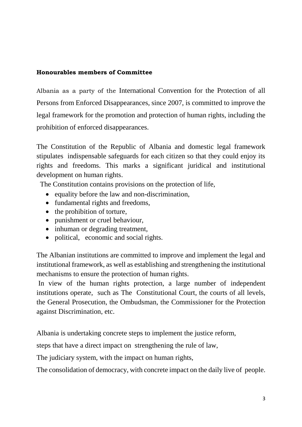## **Honourables members of Committee**

Albania as a party of the International Convention for the Protection of all Persons from Enforced Disappearances, since 2007, is committed to improve the legal framework for the promotion and protection of human rights, including the prohibition of enforced disappearances.

The Constitution of the Republic of Albania and domestic legal framework stipulates indispensable safeguards for each citizen so that they could enjoy its rights and freedoms. This marks a significant juridical and institutional development on human rights.

The Constitution contains provisions on the protection of life,

- equality before the law and non-discrimination,
- fundamental rights and freedoms,
- the prohibition of torture,
- punishment or cruel behaviour,
- inhuman or degrading treatment,
- political, economic and social rights.

The Albanian institutions are committed to improve and implement the legal and institutional framework, as well as establishing and strengthening the institutional mechanisms to ensure the protection of human rights.

In view of the human rights protection, a large number of independent institutions operate, such as The Constitutional Court, the courts of all levels, the General Prosecution, the Ombudsman, the Commissioner for the Protection against Discrimination, etc.

Albania is undertaking concrete steps to implement the justice reform,

steps that have a direct impact on strengthening the rule of law,

The judiciary system, with the impact on human rights,

The consolidation of democracy, with concrete impact on the daily live of people.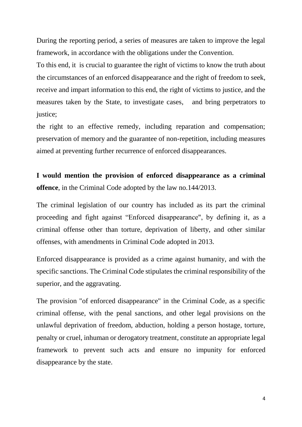During the reporting period, a series of measures are taken to improve the legal framework, in accordance with the obligations under the Convention.

To this end, it is crucial to guarantee the right of victims to know the truth about the circumstances of an enforced disappearance and the right of freedom to seek, receive and impart information to this end, the right of victims to justice, and the measures taken by the State, to investigate cases, and bring perpetrators to justice;

the right to an effective remedy, including reparation and compensation; preservation of memory and the guarantee of non-repetition, including measures aimed at preventing further recurrence of enforced disappearances.

**I would mention the provision of enforced disappearance as a criminal offence**, in the Criminal Code adopted by the law no.144/2013.

The criminal legislation of our country has included as its part the criminal proceeding and fight against "Enforced disappearance", by defining it, as a criminal offense other than torture, deprivation of liberty, and other similar offenses, with amendments in Criminal Code adopted in 2013.

Enforced disappearance is provided as a crime against humanity, and with the specific sanctions. The Criminal Code stipulates the criminal responsibility of the superior, and the aggravating.

The provision "of enforced disappearance" in the Criminal Code, as a specific criminal offense, with the penal sanctions, and other legal provisions on the unlawful deprivation of freedom, abduction, holding a person hostage, torture, penalty or cruel, inhuman or derogatory treatment, constitute an appropriate legal framework to prevent such acts and ensure no impunity for enforced disappearance by the state.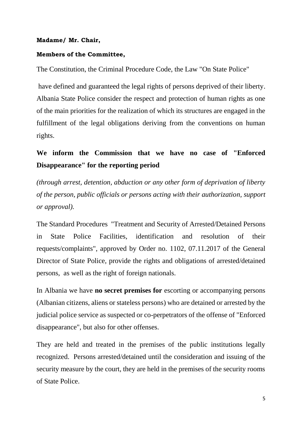## **Madame/ Mr. Chair,**

## **Members of the Committee,**

The Constitution, the Criminal Procedure Code, the Law "On State Police"

have defined and guaranteed the legal rights of persons deprived of their liberty. Albania State Police consider the respect and protection of human rights as one of the main priorities for the realization of which its structures are engaged in the fulfillment of the legal obligations deriving from the conventions on human rights.

# **We inform the Commission that we have no case of "Enforced Disappearance" for the reporting period**

*(through arrest, detention, abduction or any other form of deprivation of liberty of the person, public officials or persons acting with their authorization, support or approval).*

The Standard Procedures "Treatment and Security of Arrested/Detained Persons in State Police Facilities, identification and resolution of their requests/complaints", approved by Order no. 1102, 07.11.2017 of the General Director of State Police, provide the rights and obligations of arrested/detained persons, as well as the right of foreign nationals.

In Albania we have **no secret premises for** escorting or accompanying persons (Albanian citizens, aliens or stateless persons) who are detained or arrested by the judicial police service as suspected or co-perpetrators of the offense of "Enforced disappearance", but also for other offenses.

They are held and treated in the premises of the public institutions legally recognized. Persons arrested/detained until the consideration and issuing of the security measure by the court, they are held in the premises of the security rooms of State Police.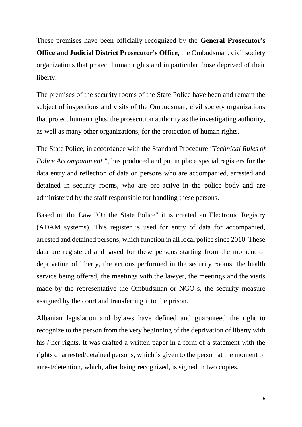These premises have been officially recognized by the **General Prosecutor's Office and Judicial District Prosecutor's Office,** the Ombudsman, civil society organizations that protect human rights and in particular those deprived of their liberty.

The premises of the security rooms of the State Police have been and remain the subject of inspections and visits of the Ombudsman, civil society organizations that protect human rights, the prosecution authority as the investigating authority, as well as many other organizations, for the protection of human rights.

The State Police, in accordance with the Standard Procedure *"Technical Rules of Police Accompaniment* ", has produced and put in place special registers for the data entry and reflection of data on persons who are accompanied, arrested and detained in security rooms, who are pro-active in the police body and are administered by the staff responsible for handling these persons.

Based on the Law "On the State Police" it is created an Electronic Registry (ADAM systems). This register is used for entry of data for accompanied, arrested and detained persons, which function in all local police since 2010. These data are registered and saved for these persons starting from the moment of deprivation of liberty, the actions performed in the security rooms, the health service being offered, the meetings with the lawyer, the meetings and the visits made by the representative the Ombudsman or NGO-s, the security measure assigned by the court and transferring it to the prison.

Albanian legislation and bylaws have defined and guaranteed the right to recognize to the person from the very beginning of the deprivation of liberty with his / her rights. It was drafted a written paper in a form of a statement with the rights of arrested/detained persons, which is given to the person at the moment of arrest/detention, which, after being recognized, is signed in two copies.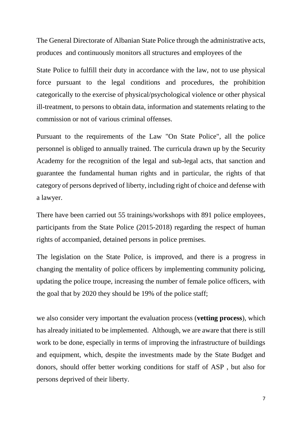The General Directorate of Albanian State Police through the administrative acts, produces and continuously monitors all structures and employees of the

State Police to fulfill their duty in accordance with the law, not to use physical force pursuant to the legal conditions and procedures, the prohibition categorically to the exercise of physical/psychological violence or other physical ill-treatment, to persons to obtain data, information and statements relating to the commission or not of various criminal offenses.

Pursuant to the requirements of the Law "On State Police", all the police personnel is obliged to annually trained. The curricula drawn up by the Security Academy for the recognition of the legal and sub-legal acts, that sanction and guarantee the fundamental human rights and in particular, the rights of that category of persons deprived of liberty, including right of choice and defense with a lawyer.

There have been carried out 55 trainings/workshops with 891 police employees, participants from the State Police (2015-2018) regarding the respect of human rights of accompanied, detained persons in police premises.

The legislation on the State Police, is improved, and there is a progress in changing the mentality of police officers by implementing community policing, updating the police troupe, increasing the number of female police officers, with the goal that by 2020 they should be 19% of the police staff;

we also consider very important the evaluation process (**vetting process**), which has already initiated to be implemented. Although, we are aware that there is still work to be done, especially in terms of improving the infrastructure of buildings and equipment, which, despite the investments made by the State Budget and donors, should offer better working conditions for staff of ASP , but also for persons deprived of their liberty.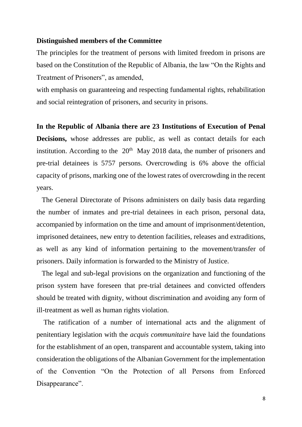#### **Distinguished members of the Committee**

The principles for the treatment of persons with limited freedom in prisons are based on the Constitution of the Republic of Albania, the law "On the Rights and Treatment of Prisoners", as amended,

with emphasis on guaranteeing and respecting fundamental rights, rehabilitation and social reintegration of prisoners, and security in prisons.

#### **In the Republic of Albania there are 23 Institutions of Execution of Penal**

**Decisions,** whose addresses are public, as well as contact details for each institution. According to the  $20<sup>th</sup>$  May 2018 data, the number of prisoners and pre-trial detainees is 5757 persons. Overcrowding is 6% above the official capacity of prisons, marking one of the lowest rates of overcrowding in the recent years.

 The General Directorate of Prisons administers on daily basis data regarding the number of inmates and pre-trial detainees in each prison, personal data, accompanied by information on the time and amount of imprisonment/detention, imprisoned detainees, new entry to detention facilities, releases and extraditions, as well as any kind of information pertaining to the movement/transfer of prisoners. Daily information is forwarded to the Ministry of Justice.

 The legal and sub-legal provisions on the organization and functioning of the prison system have foreseen that pre-trial detainees and convicted offenders should be treated with dignity, without discrimination and avoiding any form of ill-treatment as well as human rights violation.

 The ratification of a number of international acts and the alignment of penitentiary legislation with the *acquis communitaire* have laid the foundations for the establishment of an open, transparent and accountable system, taking into consideration the obligations of the Albanian Government for the implementation of the Convention "On the Protection of all Persons from Enforced Disappearance".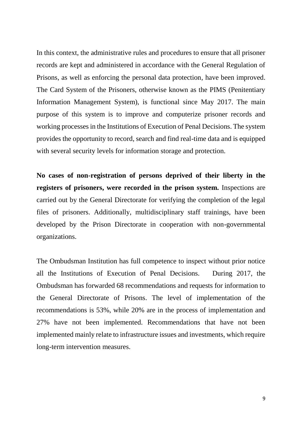In this context, the administrative rules and procedures to ensure that all prisoner records are kept and administered in accordance with the General Regulation of Prisons, as well as enforcing the personal data protection, have been improved. The Card System of the Prisoners, otherwise known as the PIMS (Penitentiary Information Management System), is functional since May 2017. The main purpose of this system is to improve and computerize prisoner records and working processes in the Institutions of Execution of Penal Decisions. The system provides the opportunity to record, search and find real-time data and is equipped with several security levels for information storage and protection.

**No cases of non-registration of persons deprived of their liberty in the registers of prisoners, were recorded in the prison system.** Inspections are carried out by the General Directorate for verifying the completion of the legal files of prisoners. Additionally, multidisciplinary staff trainings, have been developed by the Prison Directorate in cooperation with non-governmental organizations.

The Ombudsman Institution has full competence to inspect without prior notice all the Institutions of Execution of Penal Decisions. During 2017, the Ombudsman has forwarded 68 recommendations and requests for information to the General Directorate of Prisons. The level of implementation of the recommendations is 53%, while 20% are in the process of implementation and 27% have not been implemented. Recommendations that have not been implemented mainly relate to infrastructure issues and investments, which require long-term intervention measures.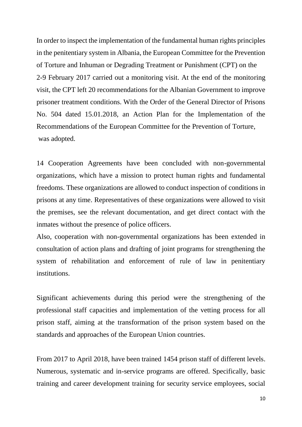In order to inspect the implementation of the fundamental human rights principles in the penitentiary system in Albania, the European Committee for the Prevention of Torture and Inhuman or Degrading Treatment or Punishment (CPT) on the 2-9 February 2017 carried out a monitoring visit. At the end of the monitoring visit, the CPT left 20 recommendations for the Albanian Government to improve prisoner treatment conditions. With the Order of the General Director of Prisons No. 504 dated 15.01.2018, an Action Plan for the Implementation of the Recommendations of the European Committee for the Prevention of Torture, was adopted.

14 Cooperation Agreements have been concluded with non-governmental organizations, which have a mission to protect human rights and fundamental freedoms. These organizations are allowed to conduct inspection of conditions in prisons at any time. Representatives of these organizations were allowed to visit the premises, see the relevant documentation, and get direct contact with the inmates without the presence of police officers.

Also, cooperation with non-governmental organizations has been extended in consultation of action plans and drafting of joint programs for strengthening the system of rehabilitation and enforcement of rule of law in penitentiary institutions.

Significant achievements during this period were the strengthening of the professional staff capacities and implementation of the vetting process for all prison staff, aiming at the transformation of the prison system based on the standards and approaches of the European Union countries.

From 2017 to April 2018, have been trained 1454 prison staff of different levels. Numerous, systematic and in-service programs are offered. Specifically, basic training and career development training for security service employees, social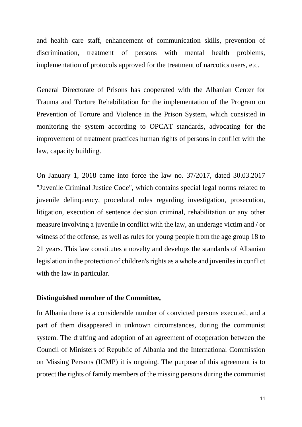and health care staff, enhancement of communication skills, prevention of discrimination, treatment of persons with mental health problems, implementation of protocols approved for the treatment of narcotics users, etc.

General Directorate of Prisons has cooperated with the Albanian Center for Trauma and Torture Rehabilitation for the implementation of the Program on Prevention of Torture and Violence in the Prison System, which consisted in monitoring the system according to OPCAT standards, advocating for the improvement of treatment practices human rights of persons in conflict with the law, capacity building.

On January 1, 2018 came into force the law no. 37/2017, dated 30.03.2017 "Juvenile Criminal Justice Code", which contains special legal norms related to juvenile delinquency, procedural rules regarding investigation, prosecution, litigation, execution of sentence decision criminal, rehabilitation or any other measure involving a juvenile in conflict with the law, an underage victim and / or witness of the offense, as well as rules for young people from the age group 18 to 21 years. This law constitutes a novelty and develops the standards of Albanian legislation in the protection of children's rights as a whole and juveniles in conflict with the law in particular.

## **Distinguished member of the Committee,**

In Albania there is a considerable number of convicted persons executed, and a part of them disappeared in unknown circumstances, during the communist system. The drafting and adoption of an agreement of cooperation between the Council of Ministers of Republic of Albania and the International Commission on Missing Persons (ICMP) it is ongoing. The purpose of this agreement is to protect the rights of family members of the missing persons during the communist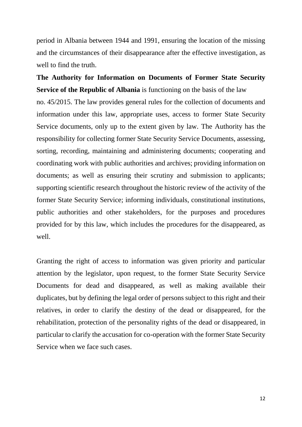period in Albania between 1944 and 1991, ensuring the location of the missing and the circumstances of their disappearance after the effective investigation, as well to find the truth.

**The Authority for Information on Documents of Former State Security Service of the Republic of Albania** is functioning on the basis of the law

no. 45/2015. The law provides general rules for the collection of documents and information under this law, appropriate uses, access to former State Security Service documents, only up to the extent given by law. The Authority has the responsibility for collecting former State Security Service Documents, assessing, sorting, recording, maintaining and administering documents; cooperating and coordinating work with public authorities and archives; providing information on documents; as well as ensuring their scrutiny and submission to applicants; supporting scientific research throughout the historic review of the activity of the former State Security Service; informing individuals, constitutional institutions, public authorities and other stakeholders, for the purposes and procedures provided for by this law, which includes the procedures for the disappeared, as well.

Granting the right of access to information was given priority and particular attention by the legislator, upon request, to the former State Security Service Documents for dead and disappeared, as well as making available their duplicates, but by defining the legal order of persons subject to this right and their relatives, in order to clarify the destiny of the dead or disappeared, for the rehabilitation, protection of the personality rights of the dead or disappeared, in particular to clarify the accusation for co-operation with the former State Security Service when we face such cases.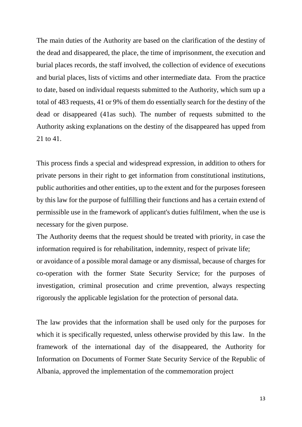The main duties of the Authority are based on the clarification of the destiny of the dead and disappeared, the place, the time of imprisonment, the execution and burial places records, the staff involved, the collection of evidence of executions and burial places, lists of victims and other intermediate data. From the practice to date, based on individual requests submitted to the Authority, which sum up a total of 483 requests, 41 or 9% of them do essentially search for the destiny of the dead or disappeared (41as such). The number of requests submitted to the Authority asking explanations on the destiny of the disappeared has upped from 21 to 41.

This process finds a special and widespread expression, in addition to others for private persons in their right to get information from constitutional institutions, public authorities and other entities, up to the extent and for the purposes foreseen by this law for the purpose of fulfilling their functions and has a certain extend of permissible use in the framework of applicant's duties fulfilment, when the use is necessary for the given purpose.

The Authority deems that the request should be treated with priority, in case the information required is for rehabilitation, indemnity, respect of private life; or avoidance of a possible moral damage or any dismissal, because of charges for co-operation with the former State Security Service; for the purposes of investigation, criminal prosecution and crime prevention, always respecting rigorously the applicable legislation for the protection of personal data.

The law provides that the information shall be used only for the purposes for which it is specifically requested, unless otherwise provided by this law. In the framework of the international day of the disappeared, the Authority for Information on Documents of Former State Security Service of the Republic of Albania, approved the implementation of the commemoration project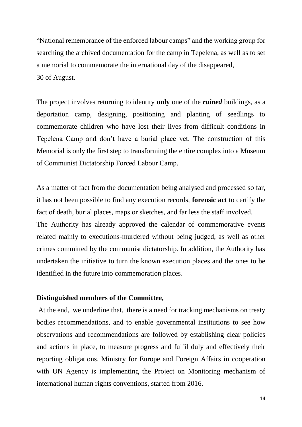"National remembrance of the enforced labour camps" and the working group for searching the archived documentation for the camp in Tepelena, as well as to set a memorial to commemorate the international day of the disappeared, 30 of August.

The project involves returning to identity **only** one of the *ruined* buildings, as a deportation camp, designing, positioning and planting of seedlings to commemorate children who have lost their lives from difficult conditions in Tepelena Camp and don't have a burial place yet. The construction of this Memorial is only the first step to transforming the entire complex into a Museum of Communist Dictatorship Forced Labour Camp.

As a matter of fact from the documentation being analysed and processed so far, it has not been possible to find any execution records, **forensic act** to certify the fact of death, burial places, maps or sketches, and far less the staff involved. The Authority has already approved the calendar of commemorative events related mainly to executions-murdered without being judged, as well as other crimes committed by the communist dictatorship. In addition, the Authority has undertaken the initiative to turn the known execution places and the ones to be identified in the future into commemoration places.

## **Distinguished members of the Committee,**

At the end, we underline that, there is a need for tracking mechanisms on treaty bodies recommendations, and to enable governmental institutions to see how observations and recommendations are followed by establishing clear policies and actions in place, to measure progress and fulfil duly and effectively their reporting obligations. Ministry for Europe and Foreign Affairs in cooperation with UN Agency is implementing the Project on Monitoring mechanism of international human rights conventions, started from 2016.